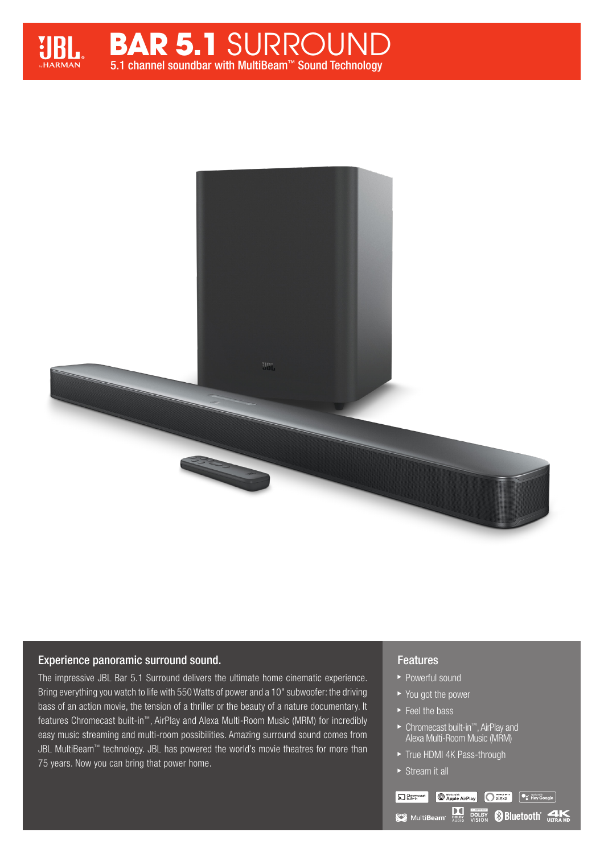





# Experience panoramic surround sound.

The impressive JBL Bar 5.1 Surround delivers the ultimate home cinematic experience. Bring everything you watch to life with 550 Watts of power and a 10" subwoofer: the driving bass of an action movie, the tension of a thriller or the beauty of a nature documentary. It features Chromecast built-in™, AirPlay and Alexa Multi-Room Music (MRM) for incredibly easy music streaming and multi-room possibilities. Amazing surround sound comes from JBL MultiBeam™ technology. JBL has powered the world's movie theatres for more than 75 years. Now you can bring that power home.

# Features

- ▶ Powerful sound
- ▶ You got the power
- ► Feel the bass
- Chromecast built-in™, AirPlay and Alexa Multi-Room Music (MRM)
- True HDMI 4K Pass-through
- ▶ Stream it all

Sal Chromecast **O** Works with AirPlay allexa example  $\overline{\bullet}$  allexa  $\overline{\bullet}$  allexa example  $\overline{\bullet}$  allexa example  $\overline{\bullet}$  allexa example  $\overline{\bullet}$  allexa example  $\overline{\bullet}$  allexa example  $\overline{\bullet}$  allexa example  $\overline{\bullet}$  allexa example **SEE MultiBeam Many DOLBY BILIETOOTH CLIEN**